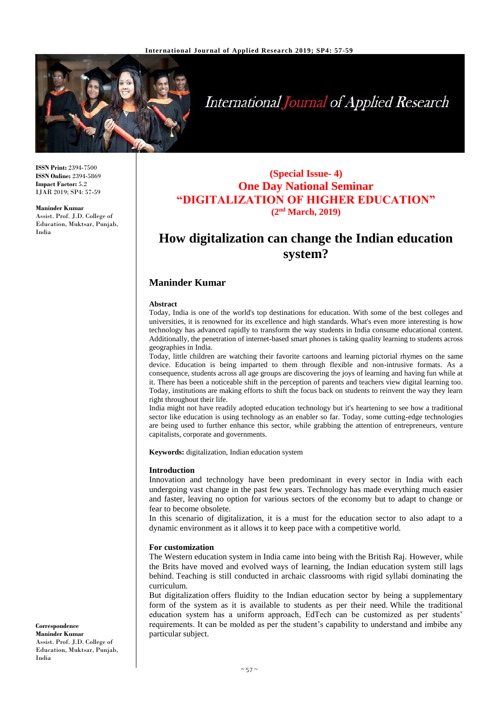

# **International Journal of Applied Research**

**ISSN Print:** 2394-7500 **ISSN Online:** 2394-5869 **Impact Factor:** 5.2 IJAR 2019; SP4: 57-59

**Maninder Kumar** Assist. Prof. J.D. College of Education, Muktsar, Punjab, India

### **(Special Issue- 4) One Day National Seminar "DIGITALIZATION OF HIGHER EDUCATION" (2nd March, 2019)**

## **How digitalization can change the Indian education system?**

#### **Maninder Kumar**

#### **Abstract**

Today, India is one of the world's top destinations for education. With some of the best colleges and universities, it is renowned for its excellence and high standards. What's even more interesting is how technology has advanced rapidly to transform the way students in India consume educational content. Additionally, the penetration of internet-based smart phones is taking quality learning to students across geographies in India.

Today, little children are watching their favorite cartoons and learning pictorial rhymes on the same device. Education is being imparted to them through flexible and non-intrusive formats. As a consequence, students across all age groups are discovering the joys of learning and having fun while at it. There has been a noticeable shift in the perception of parents and teachers view digital learning too. Today, institutions are making efforts to shift the focus back on students to reinvent the way they learn right throughout their life.

India might not have readily adopted education technology but it's heartening to see how a traditional sector like education is using technology as an enabler so far. Today, some cutting-edge technologies are being used to further enhance this sector, while grabbing the attention of entrepreneurs, venture capitalists, corporate and governments.

**Keywords:** digitalization, Indian education system

#### **Introduction**

Innovation and technology have been predominant in every sector in India with each undergoing vast change in the past few years. Technology has made everything much easier and faster, leaving no option for various sectors of the economy but to adapt to change or fear to become obsolete.

In this scenario of digitalization, it is a must for the education sector to also adapt to a dynamic environment as it allows it to keep pace with a competitive world.

#### **For customization**

The Western education system in India came into being with the British Raj. However, while the Brits have moved and evolved ways of learning, the Indian education system still lags behind. Teaching is still conducted in archaic classrooms with rigid syllabi dominating the curriculum.

But digitalization offers fluidity to the Indian education sector by being a supplementary form of the system as it is available to students as per their need. While the traditional education system has a uniform approach, EdTech can be customized as per students' requirements. It can be molded as per the student's capability to understand and imbibe any particular subject.

**Correspondence Maninder Kumar** Assist. Prof. J.D. College of Education, Muktsar, Punjab, India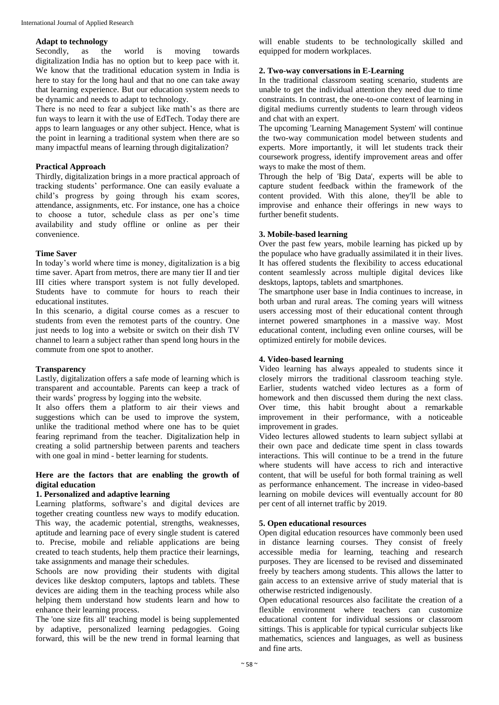#### **Adapt to technology**

Secondly, as the world is moving towards digitalization India has no option but to keep pace with it. We know that the traditional education system in India is here to stay for the long haul and that no one can take away that learning experience. But our education system needs to be dynamic and needs to adapt to technology.

There is no need to fear a subject like math's as there are fun ways to learn it with the use of EdTech. Today there are apps to learn languages or any other subject. Hence, what is the point in learning a traditional system when there are so many impactful means of learning through digitalization?

#### **Practical Approach**

Thirdly, digitalization brings in a more practical approach of tracking students' performance. One can easily evaluate a child's progress by going through his exam scores, attendance, assignments, etc. For instance, one has a choice to choose a tutor, schedule class as per one's time availability and study offline or online as per their convenience.

#### **Time Saver**

In today's world where time is money, digitalization is a big time saver. Apart from metros, there are many tier II and tier III cities where transport system is not fully developed. Students have to commute for hours to reach their educational institutes.

In this scenario, a digital course comes as a rescuer to students from even the remotest parts of the country. One just needs to log into a website or switch on their dish TV channel to learn a subject rather than spend long hours in the commute from one spot to another.

#### **Transparency**

Lastly, digitalization offers a safe mode of learning which is transparent and accountable. Parents can keep a track of their wards' progress by logging into the website.

It also offers them a platform to air their views and suggestions which can be used to improve the system, unlike the traditional method where one has to be quiet fearing reprimand from the teacher. Digitalization help in creating a solid partnership between parents and teachers with one goal in mind - better learning for students.

#### **Here are the factors that are enabling the growth of digital education**

#### **1. Personalized and adaptive learning**

Learning platforms, software's and digital devices are together creating countless new ways to modify education. This way, the academic potential, strengths, weaknesses, aptitude and learning pace of every single student is catered to. Precise, mobile and reliable applications are being created to teach students, help them practice their learnings, take assignments and manage their schedules.

Schools are now providing their students with digital devices like desktop computers, laptops and tablets. These devices are aiding them in the teaching process while also helping them understand how students learn and how to enhance their learning process.

The 'one size fits all' teaching model is being supplemented by adaptive, personalized learning pedagogies. Going forward, this will be the new trend in formal learning that

will enable students to be technologically skilled and equipped for modern workplaces.

#### **2. Two-way conversations in E-Learning**

In the traditional classroom seating scenario, students are unable to get the individual attention they need due to time constraints. In contrast, the one-to-one context of learning in digital mediums currently students to learn through videos and chat with an expert.

The upcoming 'Learning Management System' will continue the two-way communication model between students and experts. More importantly, it will let students track their coursework progress, identify improvement areas and offer ways to make the most of them.

Through the help of 'Big Data', experts will be able to capture student feedback within the framework of the content provided. With this alone, they'll be able to improvise and enhance their offerings in new ways to further benefit students.

#### **3. Mobile-based learning**

Over the past few years, mobile learning has picked up by the populace who have gradually assimilated it in their lives. It has offered students the flexibility to access educational content seamlessly across multiple digital devices like desktops, laptops, tablets and smartphones.

The smartphone user base in India continues to increase, in both urban and rural areas. The coming years will witness users accessing most of their educational content through internet powered smartphones in a massive way. Most educational content, including even online courses, will be optimized entirely for mobile devices.

#### **4. Video-based learning**

Video learning has always appealed to students since it closely mirrors the traditional classroom teaching style. Earlier, students watched video lectures as a form of homework and then discussed them during the next class. Over time, this habit brought about a remarkable improvement in their performance, with a noticeable improvement in grades.

Video lectures allowed students to learn subject syllabi at their own pace and dedicate time spent in class towards interactions. This will continue to be a trend in the future where students will have access to rich and interactive content, that will be useful for both formal training as well as performance enhancement. The increase in video-based learning on mobile devices will eventually account for 80 per cent of all internet traffic by 2019.

#### **5. Open educational resources**

Open digital education resources have commonly been used in distance learning courses. They consist of freely accessible media for learning, teaching and research purposes. They are licensed to be revised and disseminated freely by teachers among students. This allows the latter to gain access to an extensive arrive of study material that is otherwise restricted indigenously.

Open educational resources also facilitate the creation of a flexible environment where teachers can customize educational content for individual sessions or classroom sittings. This is applicable for typical curricular subjects like mathematics, sciences and languages, as well as business and fine arts.